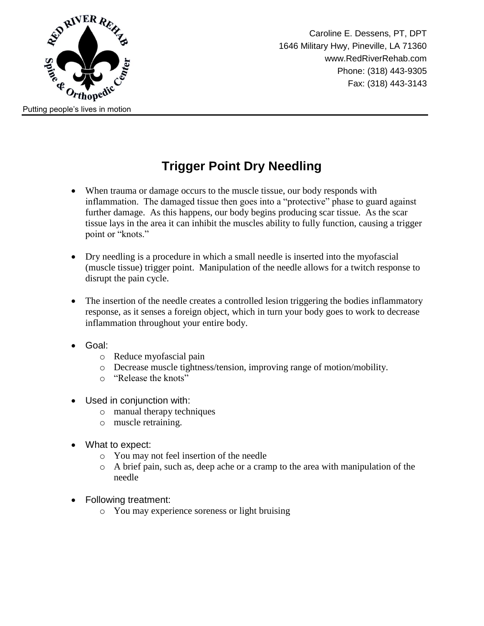

Caroline E. Dessens, PT, DPT 1646 Military Hwy, Pineville, LA 71360 www.RedRiverRehab.com Phone: (318) 443-9305 Fax: (318) 443-3143

## **Trigger Point Dry Needling**

- When trauma or damage occurs to the muscle tissue, our body responds with inflammation. The damaged tissue then goes into a "protective" phase to guard against further damage. As this happens, our body begins producing scar tissue. As the scar tissue lays in the area it can inhibit the muscles ability to fully function, causing a trigger point or "knots."
- Dry needling is a procedure in which a small needle is inserted into the myofascial (muscle tissue) trigger point. Manipulation of the needle allows for a twitch response to disrupt the pain cycle.
- The insertion of the needle creates a controlled lesion triggering the bodies inflammatory response, as it senses a foreign object, which in turn your body goes to work to decrease inflammation throughout your entire body.
- Goal:
	- o Reduce myofascial pain
	- o Decrease muscle tightness/tension, improving range of motion/mobility.
	- o "Release the knots"
- Used in conjunction with:
	- o manual therapy techniques
	- o muscle retraining.
- What to expect:
	- o You may not feel insertion of the needle
	- o A brief pain, such as, deep ache or a cramp to the area with manipulation of the needle
- Following treatment:
	- o You may experience soreness or light bruising